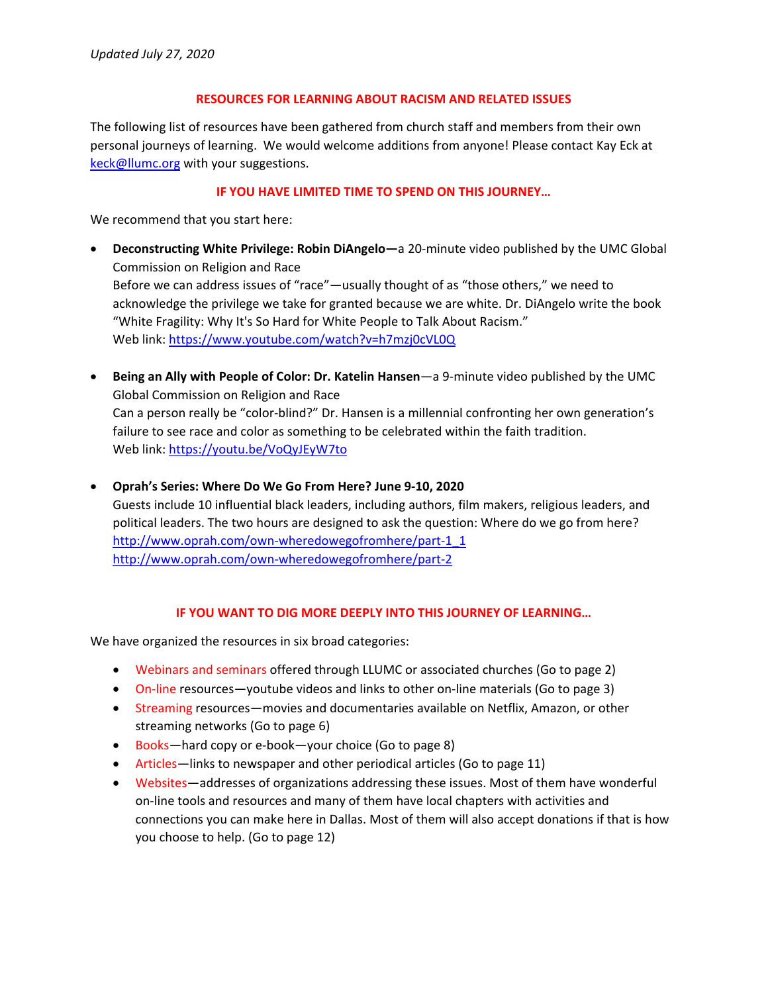### **RESOURCES FOR LEARNING ABOUT RACISM AND RELATED ISSUES**

The following list of resources have been gathered from church staff and members from their own personal journeys of learning. We would welcome additions from anyone! Please contact Kay Eck at keck@llumc.org with your suggestions.

## **IF YOU HAVE LIMITED TIME TO SPEND ON THIS JOURNEY…**

We recommend that you start here:

- **Deconstructing White Privilege: Robin DiAngelo—**a 20‐minute video published by the UMC Global Commission on Religion and Race Before we can address issues of "race"—usually thought of as "those others," we need to acknowledge the privilege we take for granted because we are white. Dr. DiAngelo write the book "White Fragility: Why It's So Hard for White People to Talk About Racism." Web link: https://www.youtube.com/watch?v=h7mzj0cVL0Q
- **Being an Ally with People of Color: Dr. Katelin Hansen**—a 9‐minute video published by the UMC Global Commission on Religion and Race Can a person really be "color‐blind?" Dr. Hansen is a millennial confronting her own generation's failure to see race and color as something to be celebrated within the faith tradition. Web link: https://youtu.be/VoQyJEyW7to
- **Oprah's Series: Where Do We Go From Here? June 9‐10, 2020**

Guests include 10 influential black leaders, including authors, film makers, religious leaders, and political leaders. The two hours are designed to ask the question: Where do we go from here? http://www.oprah.com/own-wheredowegofromhere/part-1\_1 http://www.oprah.com/own‐wheredowegofromhere/part‐2

### **IF YOU WANT TO DIG MORE DEEPLY INTO THIS JOURNEY OF LEARNING…**

We have organized the resources in six broad categories:

- Webinars and seminars offered through LLUMC or associated churches (Go to page 2)
- On-line resources—youtube videos and links to other on-line materials (Go to page 3)
- Streaming resources—movies and documentaries available on Netflix, Amazon, or other streaming networks (Go to page 6)
- Books—hard copy or e-book—your choice (Go to page 8)
- Articles—links to newspaper and other periodical articles (Go to page 11)
- Websites—addresses of organizations addressing these issues. Most of them have wonderful on‐line tools and resources and many of them have local chapters with activities and connections you can make here in Dallas. Most of them will also accept donations if that is how you choose to help. (Go to page 12)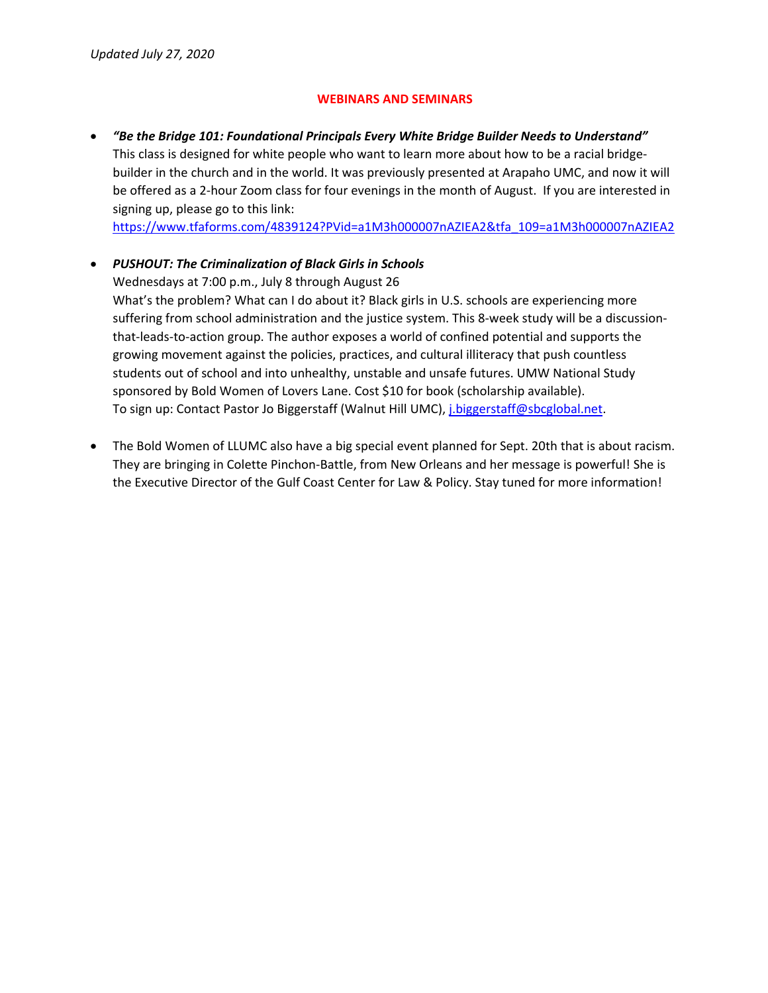## **WEBINARS AND SEMINARS**

 *"Be the Bridge 101: Foundational Principals Every White Bridge Builder Needs to Understand"* This class is designed for white people who want to learn more about how to be a racial bridge‐ builder in the church and in the world. It was previously presented at Arapaho UMC, and now it will be offered as a 2-hour Zoom class for four evenings in the month of August. If you are interested in signing up, please go to this link:

https://www.tfaforms.com/4839124?PVid=a1M3h000007nAZIEA2&tfa\_109=a1M3h000007nAZIEA2

## *PUSHOUT: The Criminalization of Black Girls in Schools*

Wednesdays at 7:00 p.m., July 8 through August 26 What's the problem? What can I do about it? Black girls in U.S. schools are experiencing more suffering from school administration and the justice system. This 8-week study will be a discussionthat‐leads‐to‐action group. The author exposes a world of confined potential and supports the growing movement against the policies, practices, and cultural illiteracy that push countless students out of school and into unhealthy, unstable and unsafe futures. UMW National Study sponsored by Bold Women of Lovers Lane. Cost \$10 for book (scholarship available). To sign up: Contact Pastor Jo Biggerstaff (Walnut Hill UMC), j.biggerstaff@sbcglobal.net.

 The Bold Women of LLUMC also have a big special event planned for Sept. 20th that is about racism. They are bringing in Colette Pinchon‐Battle, from New Orleans and her message is powerful! She is the Executive Director of the Gulf Coast Center for Law & Policy. Stay tuned for more information!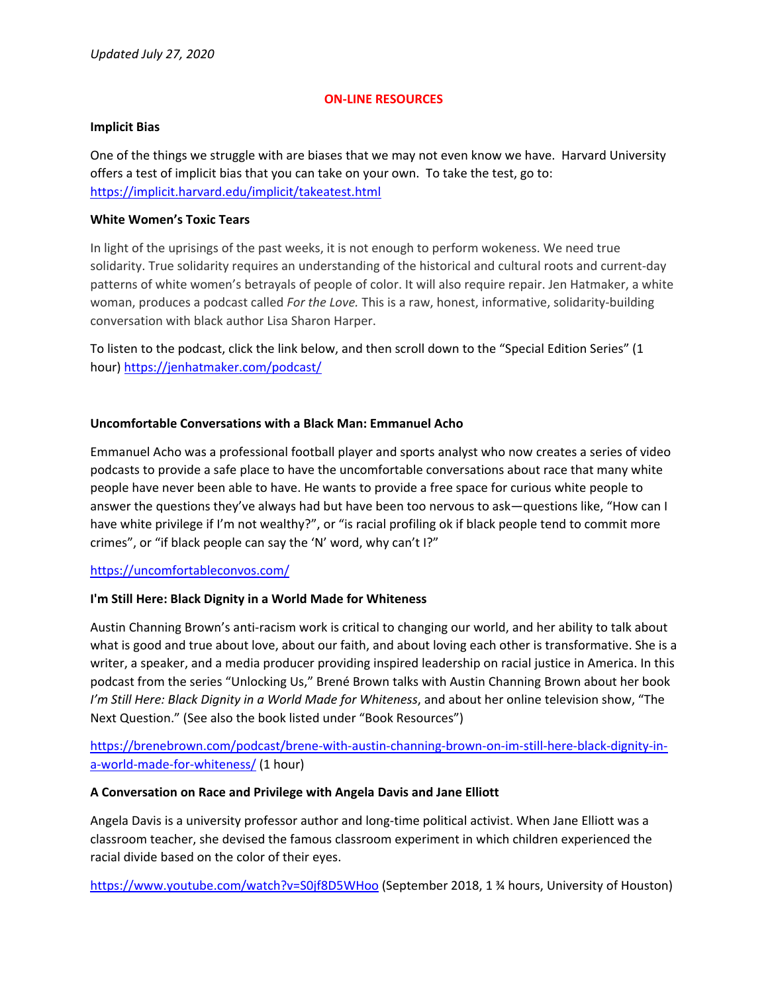### **ON‐LINE RESOURCES**

#### **Implicit Bias**

One of the things we struggle with are biases that we may not even know we have. Harvard University offers a test of implicit bias that you can take on your own. To take the test, go to: https://implicit.harvard.edu/implicit/takeatest.html

### **White Women's Toxic Tears**

In light of the uprisings of the past weeks, it is not enough to perform wokeness. We need true solidarity. True solidarity requires an understanding of the historical and cultural roots and current‐day patterns of white women's betrayals of people of color. It will also require repair. Jen Hatmaker, a white woman, produces a podcast called *For the Love.* This is a raw, honest, informative, solidarity‐building conversation with black author Lisa Sharon Harper.

To listen to the podcast, click the link below, and then scroll down to the "Special Edition Series" (1 hour) https://jenhatmaker.com/podcast/

## **Uncomfortable Conversations with a Black Man: Emmanuel Acho**

Emmanuel Acho was a professional football player and sports analyst who now creates a series of video podcasts to provide a safe place to have the uncomfortable conversations about race that many white people have never been able to have. He wants to provide a free space for curious white people to answer the questions they've always had but have been too nervous to ask—questions like, "How can I have white privilege if I'm not wealthy?", or "is racial profiling ok if black people tend to commit more crimes", or "if black people can say the 'N' word, why can't I?"

### https://uncomfortableconvos.com/

### **I'm Still Here: Black Dignity in a World Made for Whiteness**

Austin Channing Brown's anti‐racism work is critical to changing our world, and her ability to talk about what is good and true about love, about our faith, and about loving each other is transformative. She is a writer, a speaker, and a media producer providing inspired leadership on racial justice in America. In this podcast from the series "Unlocking Us," Brené Brown talks with Austin Channing Brown about her book *I'm Still Here: Black Dignity in a World Made for Whiteness*, and about her online television show, "The Next Question." (See also the book listed under "Book Resources")

# https://brenebrown.com/podcast/brene‐with‐austin‐channing‐brown‐on‐im‐still‐here‐black‐dignity‐in‐ a-world-made-for-whiteness/ (1 hour)

### **A Conversation on Race and Privilege with Angela Davis and Jane Elliott**

Angela Davis is a university professor author and long‐time political activist. When Jane Elliott was a classroom teacher, she devised the famous classroom experiment in which children experienced the racial divide based on the color of their eyes.

https://www.youtube.com/watch?v=S0jf8D5WHoo (September 2018, 1 ¾ hours, University of Houston)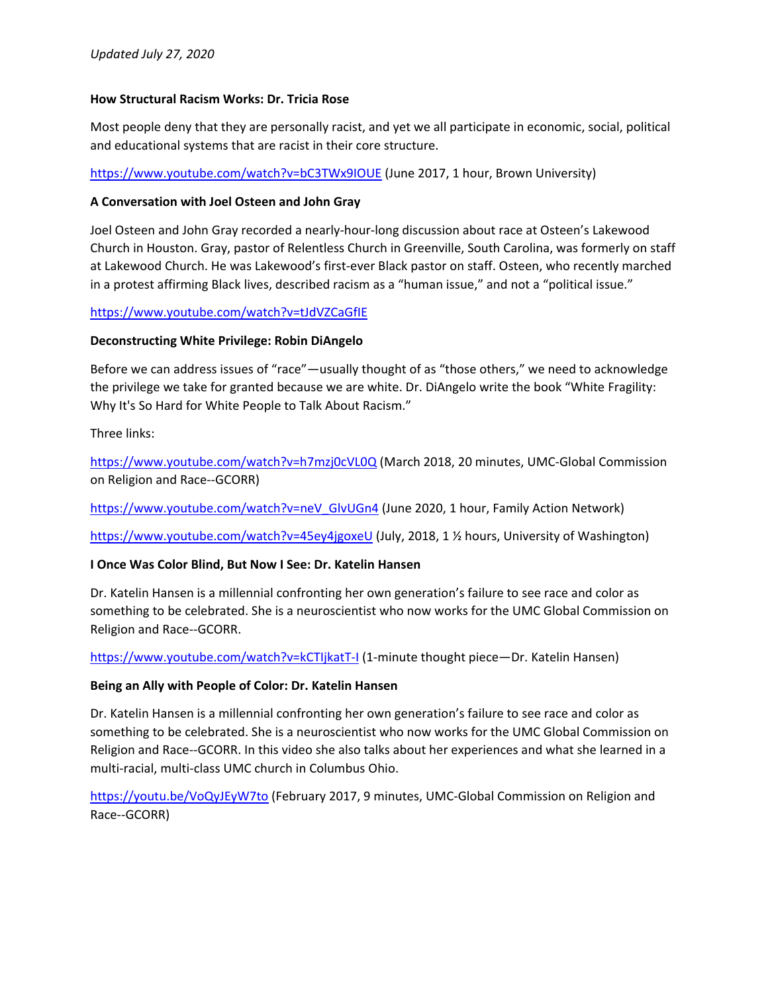### **How Structural Racism Works: Dr. Tricia Rose**

Most people deny that they are personally racist, and yet we all participate in economic, social, political and educational systems that are racist in their core structure.

https://www.youtube.com/watch?v=bC3TWx9IOUE (June 2017, 1 hour, Brown University)

## **A Conversation with Joel Osteen and John Gray**

Joel Osteen and John Gray recorded a nearly‐hour‐long discussion about race at Osteen's Lakewood Church in Houston. Gray, pastor of Relentless Church in Greenville, South Carolina, was formerly on staff at Lakewood Church. He was Lakewood's first‐ever Black pastor on staff. Osteen, who recently marched in a protest affirming Black lives, described racism as a "human issue," and not a "political issue."

## https://www.youtube.com/watch?v=tJdVZCaGfIE

## **Deconstructing White Privilege: Robin DiAngelo**

Before we can address issues of "race"—usually thought of as "those others," we need to acknowledge the privilege we take for granted because we are white. Dr. DiAngelo write the book "White Fragility: Why It's So Hard for White People to Talk About Racism."

Three links:

https://www.youtube.com/watch?v=h7mzj0cVL0Q (March 2018, 20 minutes, UMC-Global Commission on Religion and Race‐‐GCORR)

https://www.youtube.com/watch?v=neV\_GlvUGn4 (June 2020, 1 hour, Family Action Network)

https://www.youtube.com/watch?v=45ey4jgoxeU (July, 2018, 1 ½ hours, University of Washington)

## **I Once Was Color Blind, But Now I See: Dr. Katelin Hansen**

Dr. Katelin Hansen is a millennial confronting her own generation's failure to see race and color as something to be celebrated. She is a neuroscientist who now works for the UMC Global Commission on Religion and Race‐‐GCORR.

https://www.youtube.com/watch?v=kCTIjkatT‐I (1‐minute thought piece—Dr. Katelin Hansen)

### **Being an Ally with People of Color: Dr. Katelin Hansen**

Dr. Katelin Hansen is a millennial confronting her own generation's failure to see race and color as something to be celebrated. She is a neuroscientist who now works for the UMC Global Commission on Religion and Race‐‐GCORR. In this video she also talks about her experiences and what she learned in a multi-racial, multi-class UMC church in Columbus Ohio.

https://youtu.be/VoQyJEyW7to (February 2017, 9 minutes, UMC-Global Commission on Religion and Race‐‐GCORR)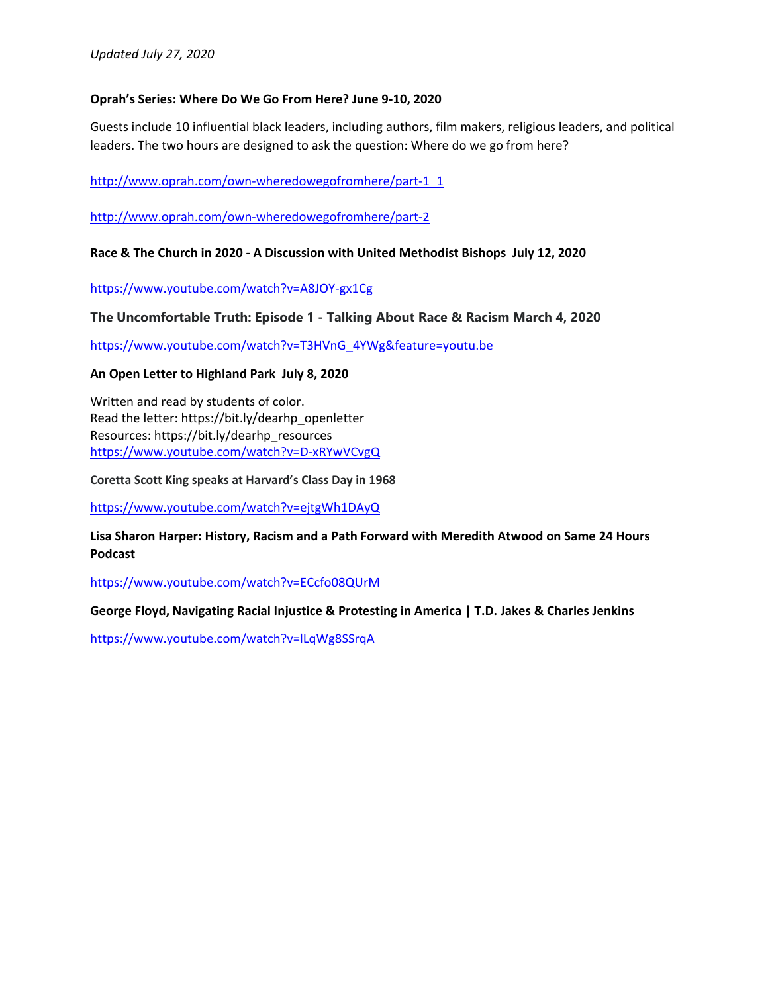### **Oprah's Series: Where Do We Go From Here? June 9‐10, 2020**

Guests include 10 influential black leaders, including authors, film makers, religious leaders, and political leaders. The two hours are designed to ask the question: Where do we go from here?

http://www.oprah.com/own-wheredowegofromhere/part-1\_1

http://www.oprah.com/own‐wheredowegofromhere/part‐2

**Race & The Church in 2020 ‐ A Discussion with United Methodist Bishops July 12, 2020**

https://www.youtube.com/watch?v=A8JOY‐gx1Cg

**The Uncomfortable Truth: Episode 1 - Talking About Race & Racism March 4, 2020** 

https://www.youtube.com/watch?v=T3HVnG\_4YWg&feature=youtu.be

### **An Open Letter to Highland Park July 8, 2020**

Written and read by students of color. Read the letter: https://bit.ly/dearhp\_openletter Resources: https://bit.ly/dearhp\_resources https://www.youtube.com/watch?v=D‐xRYwVCvgQ

**Coretta Scott King speaks at Harvard's Class Day in 1968**

https://www.youtube.com/watch?v=ejtgWh1DAyQ

**Lisa Sharon Harper: History, Racism and a Path Forward with Meredith Atwood on Same 24 Hours Podcast**

https://www.youtube.com/watch?v=ECcfo08QUrM

**George Floyd, Navigating Racial Injustice & Protesting in America | T.D. Jakes & Charles Jenkins**

https://www.youtube.com/watch?v=lLqWg8SSrqA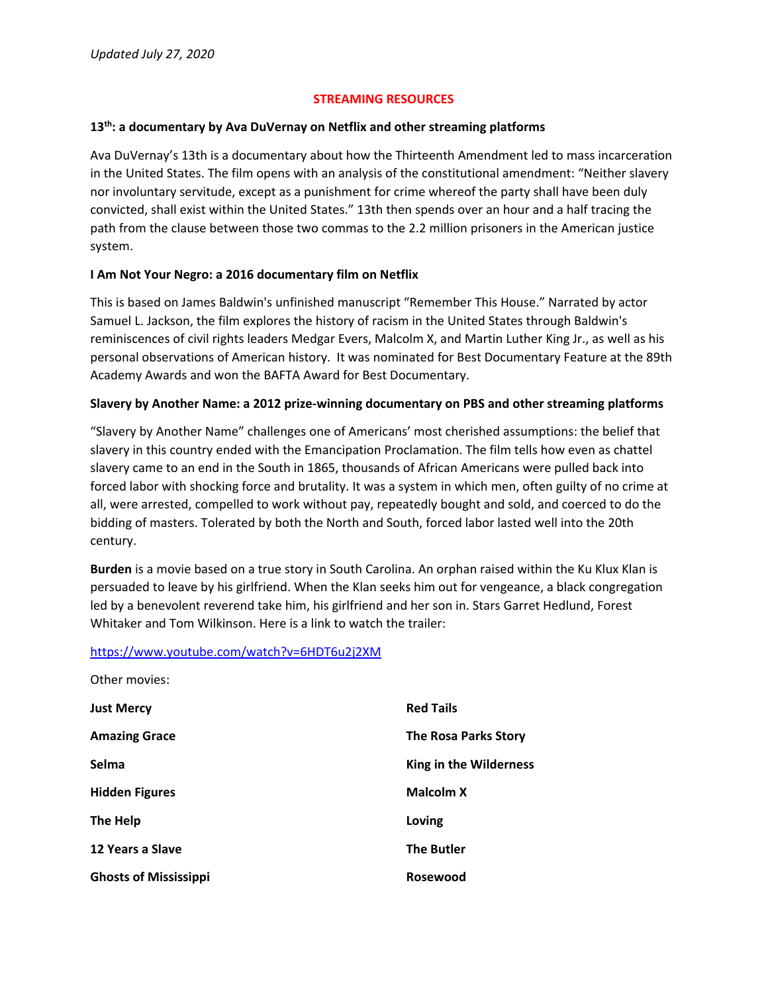## **STREAMING RESOURCES**

### **13th: a documentary by Ava DuVernay on Netflix and other streaming platforms**

Ava DuVernay's 13th is a documentary about how the Thirteenth Amendment led to mass incarceration in the United States. The film opens with an analysis of the constitutional amendment: "Neither slavery nor involuntary servitude, except as a punishment for crime whereof the party shall have been duly convicted, shall exist within the United States." 13th then spends over an hour and a half tracing the path from the clause between those two commas to the 2.2 million prisoners in the American justice system.

### **I Am Not Your Negro: a 2016 documentary film on Netflix**

This is based on James Baldwin's unfinished manuscript "Remember This House." Narrated by actor Samuel L. Jackson, the film explores the history of racism in the United States through Baldwin's reminiscences of civil rights leaders Medgar Evers, Malcolm X, and Martin Luther King Jr., as well as his personal observations of American history. It was nominated for Best Documentary Feature at the 89th Academy Awards and won the BAFTA Award for Best Documentary.

### **Slavery by Another Name: a 2012 prize‐winning documentary on PBS and other streaming platforms**

"Slavery by Another Name" challenges one of Americans' most cherished assumptions: the belief that slavery in this country ended with the Emancipation Proclamation. The film tells how even as chattel slavery came to an end in the South in 1865, thousands of African Americans were pulled back into forced labor with shocking force and brutality. It was a system in which men, often guilty of no crime at all, were arrested, compelled to work without pay, repeatedly bought and sold, and coerced to do the bidding of masters. Tolerated by both the North and South, forced labor lasted well into the 20th century.

**Burden** is a movie based on a true story in South Carolina. An orphan raised within the Ku Klux Klan is persuaded to leave by his girlfriend. When the Klan seeks him out for vengeance, a black congregation led by a benevolent reverend take him, his girlfriend and her son in. Stars Garret Hedlund, Forest Whitaker and Tom Wilkinson. Here is a link to watch the trailer:

### https://www.youtube.com/watch?v=6HDT6u2j2XM

| Other movies:                |                             |
|------------------------------|-----------------------------|
| <b>Just Mercy</b>            | <b>Red Tails</b>            |
| <b>Amazing Grace</b>         | <b>The Rosa Parks Story</b> |
| Selma                        | King in the Wilderness      |
| <b>Hidden Figures</b>        | <b>Malcolm X</b>            |
| The Help                     | Loving                      |
| 12 Years a Slave             | <b>The Butler</b>           |
| <b>Ghosts of Mississippi</b> | <b>Rosewood</b>             |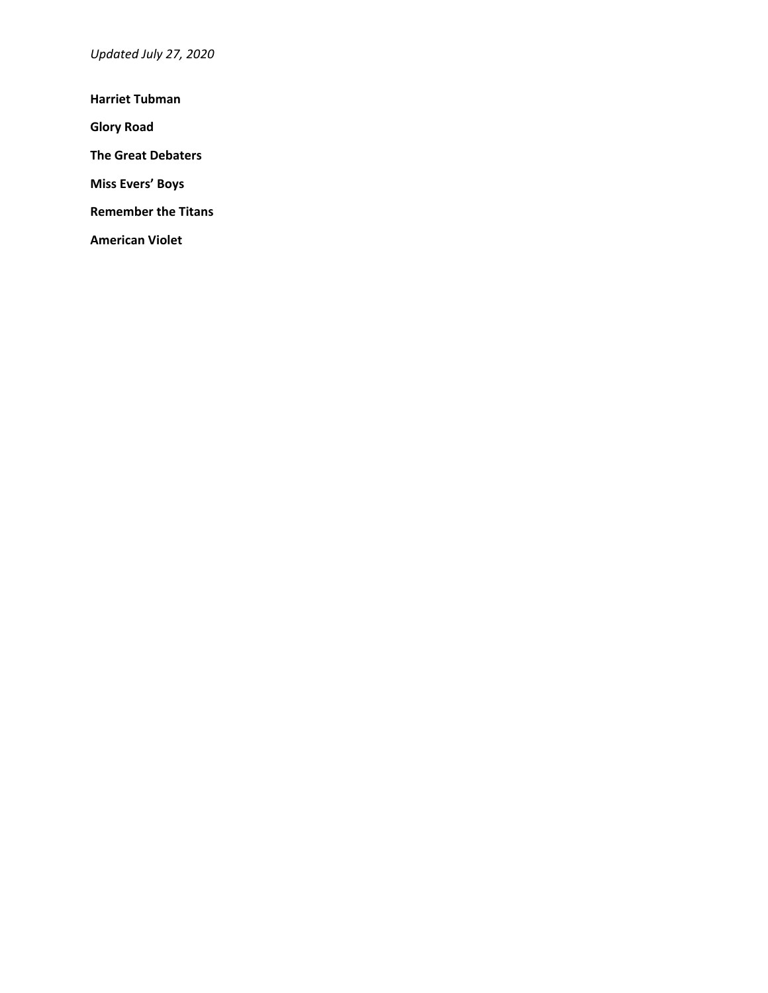*Updated July 27, 2020*

**Harriet Tubman**

**Glory Road**

**The Great Debaters**

**Miss Evers' Boys**

**Remember the Titans**

**American Violet**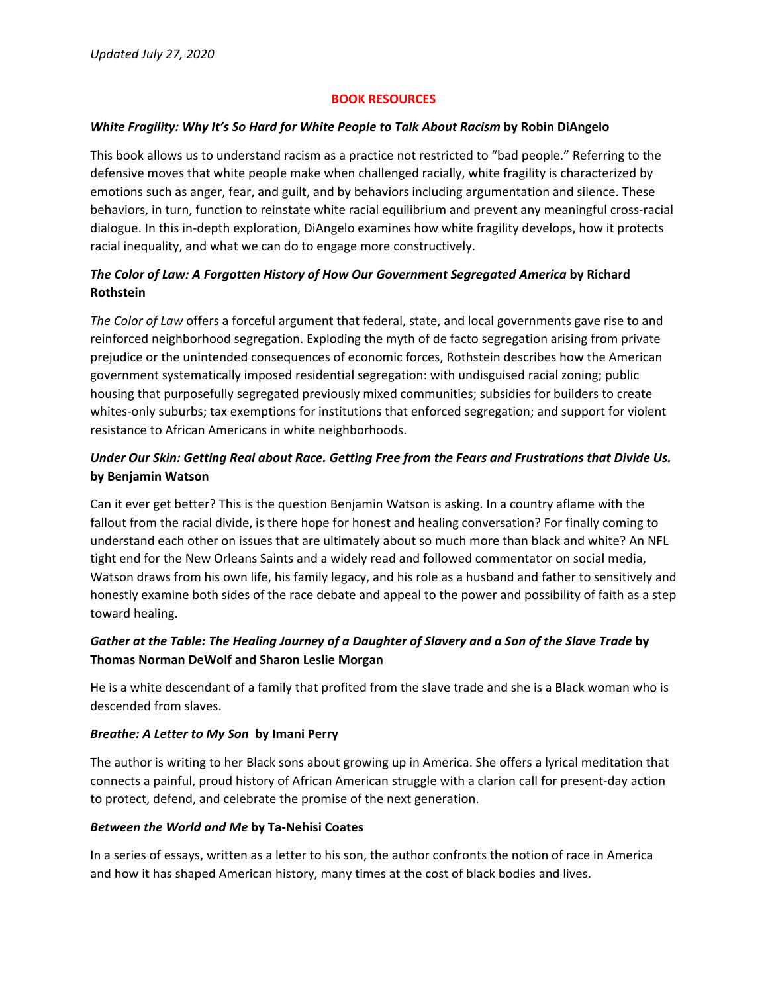### **BOOK RESOURCES**

### *White Fragility: Why It's So Hard for White People to Talk About Racism* **by Robin DiAngelo**

This book allows us to understand racism as a practice not restricted to "bad people." Referring to the defensive moves that white people make when challenged racially, white fragility is characterized by emotions such as anger, fear, and guilt, and by behaviors including argumentation and silence. These behaviors, in turn, function to reinstate white racial equilibrium and prevent any meaningful cross-racial dialogue. In this in‐depth exploration, DiAngelo examines how white fragility develops, how it protects racial inequality, and what we can do to engage more constructively.

# *The Color of Law: A Forgotten History of How Our Government Segregated America* **by Richard Rothstein**

*The Color of Law* offers a forceful argument that federal, state, and local governments gave rise to and reinforced neighborhood segregation. Exploding the myth of de facto segregation arising from private prejudice or the unintended consequences of economic forces, Rothstein describes how the American government systematically imposed residential segregation: with undisguised racial zoning; public housing that purposefully segregated previously mixed communities; subsidies for builders to create whites-only suburbs; tax exemptions for institutions that enforced segregation; and support for violent resistance to African Americans in white neighborhoods.

# *Under Our Skin: Getting Real about Race. Getting Free from the Fears and Frustrations that Divide Us.* **by Benjamin Watson**

Can it ever get better? This is the question Benjamin Watson is asking. In a country aflame with the fallout from the racial divide, is there hope for honest and healing conversation? For finally coming to understand each other on issues that are ultimately about so much more than black and white? An NFL tight end for the New Orleans Saints and a widely read and followed commentator on social media, Watson draws from his own life, his family legacy, and his role as a husband and father to sensitively and honestly examine both sides of the race debate and appeal to the power and possibility of faith as a step toward healing.

# Gather at the Table: The Healing Journey of a Daughter of Slavery and a Son of the Slave Trade by **Thomas Norman DeWolf and Sharon Leslie Morgan**

He is a white descendant of a family that profited from the slave trade and she is a Black woman who is descended from slaves.

## *Breathe: A Letter to My Son* **by Imani Perry**

The author is writing to her Black sons about growing up in America. She offers a lyrical meditation that connects a painful, proud history of African American struggle with a clarion call for present‐day action to protect, defend, and celebrate the promise of the next generation.

## *Between the World and Me* **by Ta‐Nehisi Coates**

In a series of essays, written as a letter to his son, the author confronts the notion of race in America and how it has shaped American history, many times at the cost of black bodies and lives.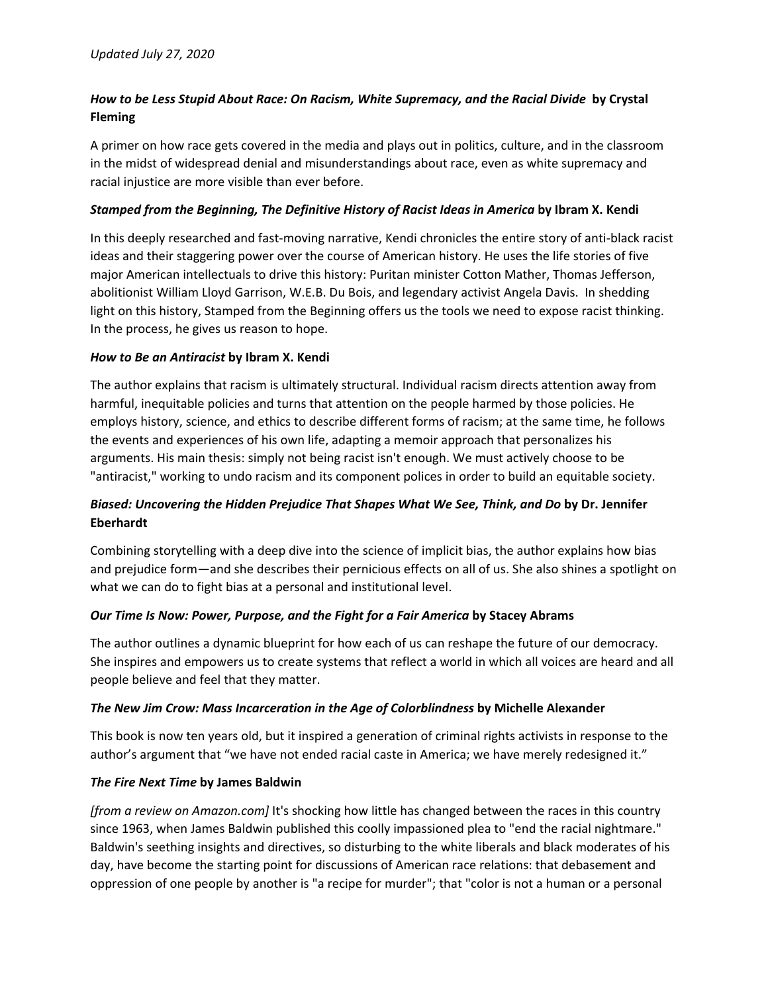# *How to be Less Stupid About Race: On Racism, White Supremacy, and the Racial Divide* **by Crystal Fleming**

A primer on how race gets covered in the media and plays out in politics, culture, and in the classroom in the midst of widespread denial and misunderstandings about race, even as white supremacy and racial injustice are more visible than ever before.

## *Stamped from the Beginning, The Definitive History of Racist Ideas in America* **by Ibram X. Kendi**

In this deeply researched and fast‐moving narrative, Kendi chronicles the entire story of anti‐black racist ideas and their staggering power over the course of American history. He uses the life stories of five major American intellectuals to drive this history: Puritan minister Cotton Mather, Thomas Jefferson, abolitionist William Lloyd Garrison, W.E.B. Du Bois, and legendary activist Angela Davis. In shedding light on this history, Stamped from the Beginning offers us the tools we need to expose racist thinking. In the process, he gives us reason to hope.

### *How to Be an Antiracist* **by Ibram X. Kendi**

The author explains that racism is ultimately structural. Individual racism directs attention away from harmful, inequitable policies and turns that attention on the people harmed by those policies. He employs history, science, and ethics to describe different forms of racism; at the same time, he follows the events and experiences of his own life, adapting a memoir approach that personalizes his arguments. His main thesis: simply not being racist isn't enough. We must actively choose to be "antiracist," working to undo racism and its component polices in order to build an equitable society.

# *Biased: Uncovering the Hidden Prejudice That Shapes What We See, Think, and Do* **by Dr. Jennifer Eberhardt**

Combining storytelling with a deep dive into the science of implicit bias, the author explains how bias and prejudice form—and she describes their pernicious effects on all of us. She also shines a spotlight on what we can do to fight bias at a personal and institutional level.

### *Our Time Is Now: Power, Purpose, and the Fight for a Fair America* **by Stacey Abrams**

The author outlines a dynamic blueprint for how each of us can reshape the future of our democracy. She inspires and empowers us to create systems that reflect a world in which all voices are heard and all people believe and feel that they matter.

### *The New Jim Crow: Mass Incarceration in the Age of Colorblindness* **by Michelle Alexander**

This book is now ten years old, but it inspired a generation of criminal rights activists in response to the author's argument that "we have not ended racial caste in America; we have merely redesigned it."

### *The Fire Next Time* **by James Baldwin**

*[from a review on Amazon.com]* It's shocking how little has changed between the races in this country since 1963, when James Baldwin published this coolly impassioned plea to "end the racial nightmare." Baldwin's seething insights and directives, so disturbing to the white liberals and black moderates of his day, have become the starting point for discussions of American race relations: that debasement and oppression of one people by another is "a recipe for murder"; that "color is not a human or a personal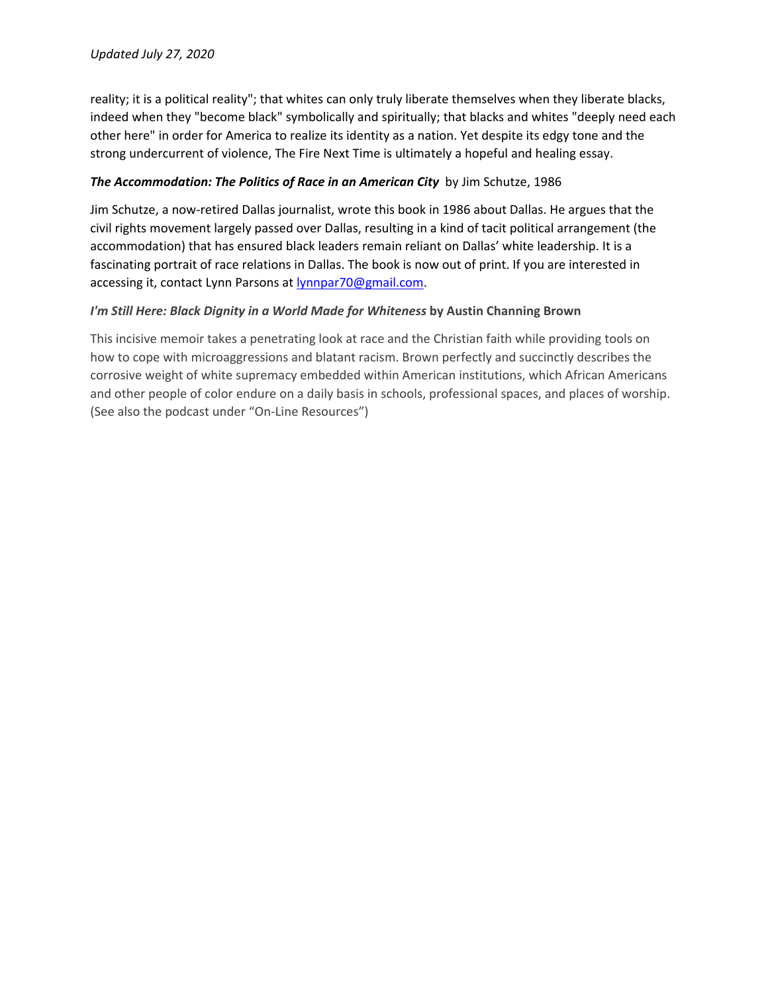reality; it is a political reality"; that whites can only truly liberate themselves when they liberate blacks, indeed when they "become black" symbolically and spiritually; that blacks and whites "deeply need each other here" in order for America to realize its identity as a nation. Yet despite its edgy tone and the strong undercurrent of violence, The Fire Next Time is ultimately a hopeful and healing essay.

### *The Accommodation: The Politics of Race in an American City* by Jim Schutze, 1986

Jim Schutze, a now‐retired Dallas journalist, wrote this book in 1986 about Dallas. He argues that the civil rights movement largely passed over Dallas, resulting in a kind of tacit political arrangement (the accommodation) that has ensured black leaders remain reliant on Dallas' white leadership. It is a fascinating portrait of race relations in Dallas. The book is now out of print. If you are interested in accessing it, contact Lynn Parsons at lynnpar70@gmail.com.

## *I'm Still Here: Black Dignity in a World Made for Whiteness* **by Austin Channing Brown**

This incisive memoir takes a penetrating look at race and the Christian faith while providing tools on how to cope with microaggressions and blatant racism. Brown perfectly and succinctly describes the corrosive weight of white supremacy embedded within American institutions, which African Americans and other people of color endure on a daily basis in schools, professional spaces, and places of worship. (See also the podcast under "On‐Line Resources")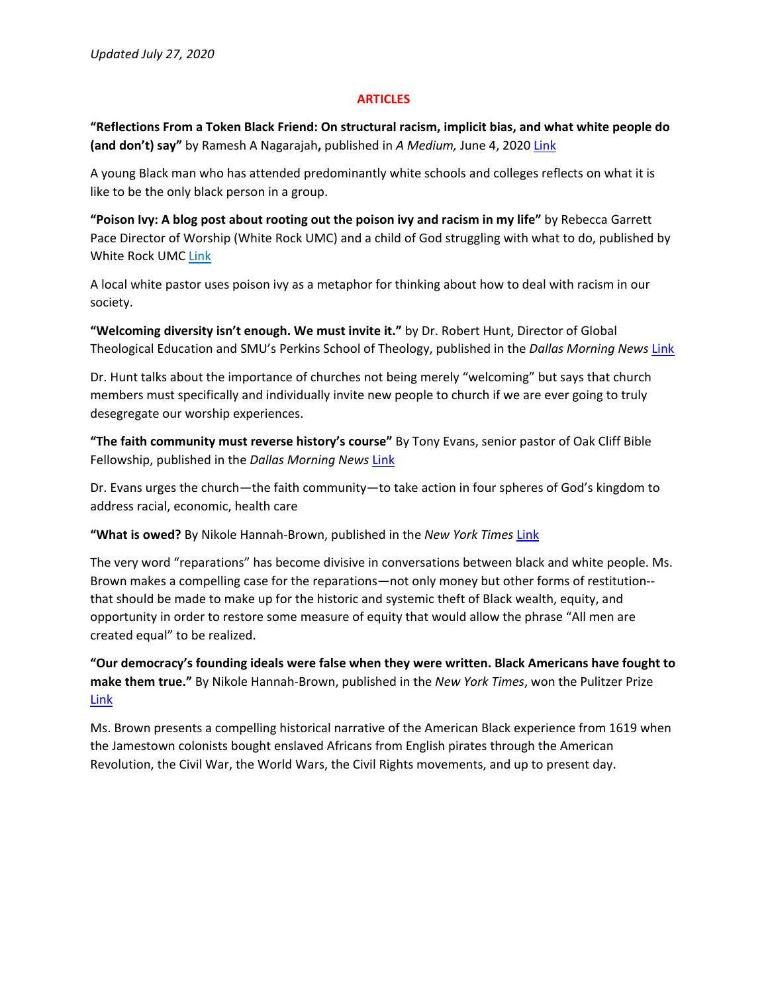#### **ARTICLES**

**"Reflections From a Token Black Friend: On structural racism, implicit bias, and what white people do (and don't) say"** by Ramesh A Nagarajah**,** published in *A Medium,* June 4, 2020 Link

A young Black man who has attended predominantly white schools and colleges reflects on what it is like to be the only black person in a group.

**"Poison Ivy: A blog post about rooting out the poison ivy and racism in my life"** by Rebecca Garrett Pace Director of Worship (White Rock UMC) and a child of God struggling with what to do, published by White Rock UMC Link

A local white pastor uses poison ivy as a metaphor for thinking about how to deal with racism in our society.

**"Welcoming diversity isn't enough. We must invite it."** by Dr. Robert Hunt, Director of Global Theological Education and SMU's Perkins School of Theology, published in the *Dallas Morning News* Link

Dr. Hunt talks about the importance of churches not being merely "welcoming" but says that church members must specifically and individually invite new people to church if we are ever going to truly desegregate our worship experiences.

**"The faith community must reverse history's course"** By Tony Evans, senior pastor of Oak Cliff Bible Fellowship, published in the *Dallas Morning News* Link

Dr. Evans urges the church—the faith community—to take action in four spheres of God's kingdom to address racial, economic, health care

**"What is owed?** By Nikole Hannah‐Brown, published in the *New York Times* Link

The very word "reparations" has become divisive in conversations between black and white people. Ms. Brown makes a compelling case for the reparations—not only money but other forms of restitution‐‐ that should be made to make up for the historic and systemic theft of Black wealth, equity, and opportunity in order to restore some measure of equity that would allow the phrase "All men are created equal" to be realized.

**"Our democracy's founding ideals were false when they were written. Black Americans have fought to make them true."** By Nikole Hannah‐Brown, published in the *New York Times*, won the Pulitzer Prize Link

Ms. Brown presents a compelling historical narrative of the American Black experience from 1619 when the Jamestown colonists bought enslaved Africans from English pirates through the American Revolution, the Civil War, the World Wars, the Civil Rights movements, and up to present day.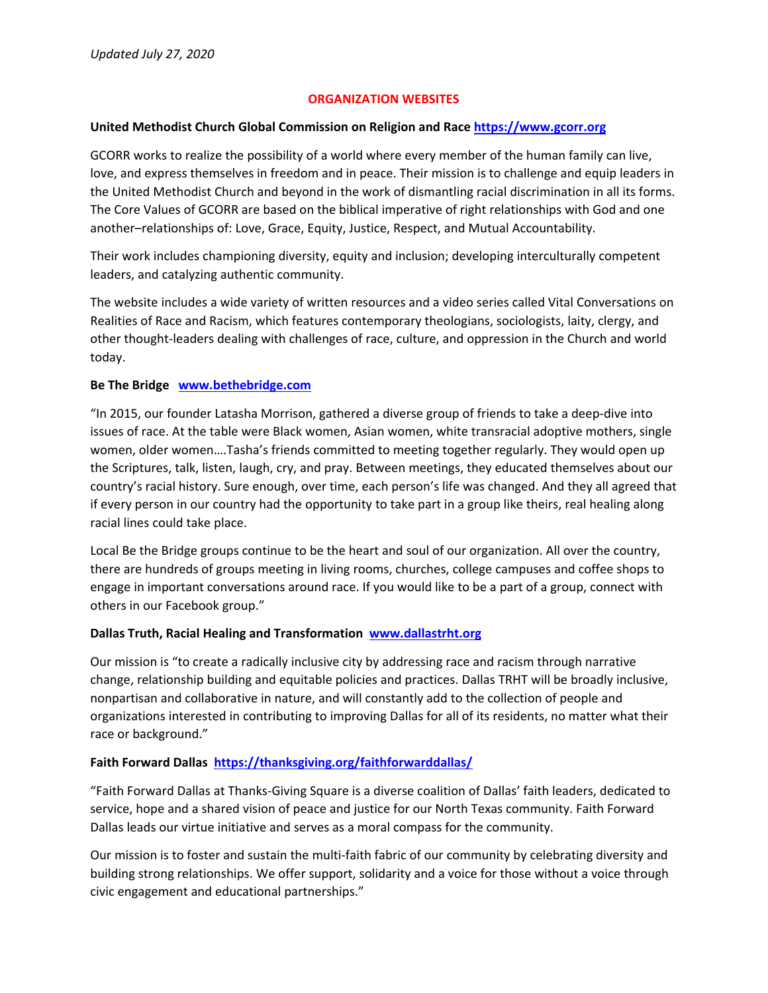## **ORGANIZATION WEBSITES**

### **United Methodist Church Global Commission on Religion and Race https://www.gcorr.org**

GCORR works to realize the possibility of a world where every member of the human family can live, love, and express themselves in freedom and in peace. Their mission is to challenge and equip leaders in the United Methodist Church and beyond in the work of dismantling racial discrimination in all its forms. The Core Values of GCORR are based on the biblical imperative of right relationships with God and one another–relationships of: Love, Grace, Equity, Justice, Respect, and Mutual Accountability.

Their work includes championing diversity, equity and inclusion; developing interculturally competent leaders, and catalyzing authentic community.

The website includes a wide variety of written resources and a video series called Vital Conversations on Realities of Race and Racism, which features contemporary theologians, sociologists, laity, clergy, and other thought‐leaders dealing with challenges of race, culture, and oppression in the Church and world today.

### **Be The Bridge www.bethebridge.com**

"In 2015, our founder Latasha Morrison, gathered a diverse group of friends to take a deep‐dive into issues of race. At the table were Black women, Asian women, white transracial adoptive mothers, single women, older women….Tasha's friends committed to meeting together regularly. They would open up the Scriptures, talk, listen, laugh, cry, and pray. Between meetings, they educated themselves about our country's racial history. Sure enough, over time, each person's life was changed. And they all agreed that if every person in our country had the opportunity to take part in a group like theirs, real healing along racial lines could take place.

Local Be the Bridge groups continue to be the heart and soul of our organization. All over the country, there are hundreds of groups meeting in living rooms, churches, college campuses and coffee shops to engage in important conversations around race. If you would like to be a part of a group, connect with others in our Facebook group."

### **Dallas Truth, Racial Healing and Transformation www.dallastrht.org**

Our mission is "to create a radically inclusive city by addressing race and racism through narrative change, relationship building and equitable policies and practices. Dallas TRHT will be broadly inclusive, nonpartisan and collaborative in nature, and will constantly add to the collection of people and organizations interested in contributing to improving Dallas for all of its residents, no matter what their race or background."

### **Faith Forward Dallas https://thanksgiving.org/faithforwarddallas/**

"Faith Forward Dallas at Thanks‐Giving Square is a diverse coalition of Dallas' faith leaders, dedicated to service, hope and a shared vision of peace and justice for our North Texas community. Faith Forward Dallas leads our virtue initiative and serves as a moral compass for the community.

Our mission is to foster and sustain the multi‐faith fabric of our community by celebrating diversity and building strong relationships. We offer support, solidarity and a voice for those without a voice through civic engagement and educational partnerships."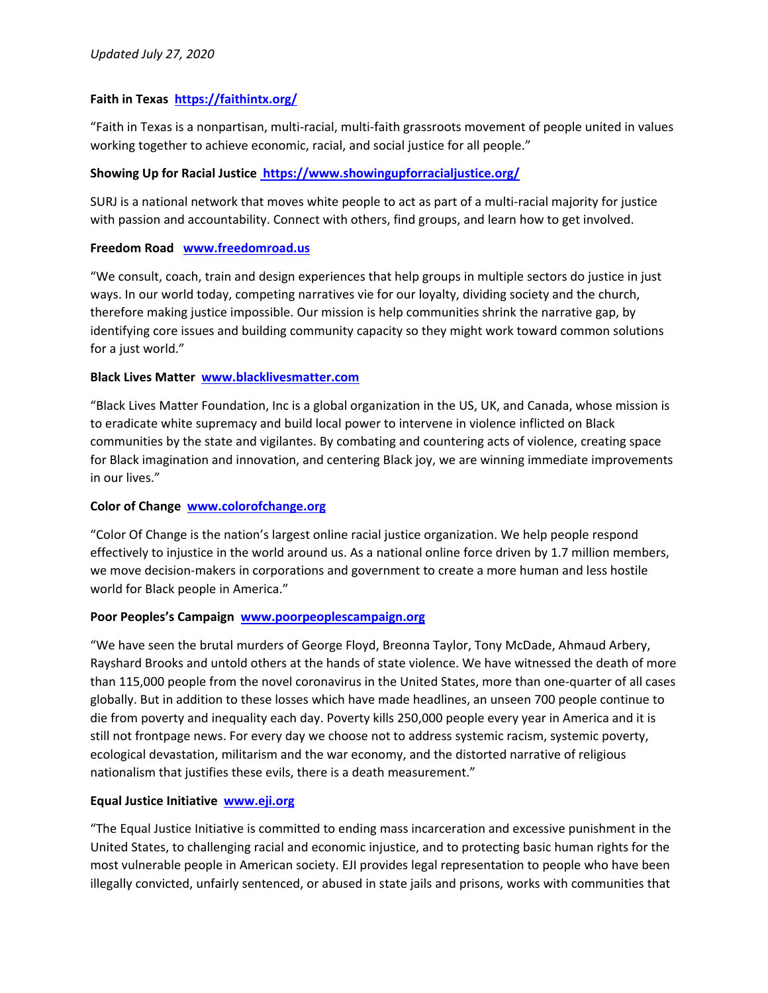## **Faith in Texas https://faithintx.org/**

"Faith in Texas is a nonpartisan, multi‐racial, multi‐faith grassroots movement of people united in values working together to achieve economic, racial, and social justice for all people."

### **Showing Up for Racial Justice https://www.showingupforracialjustice.org/**

SURJ is a national network that moves white people to act as part of a multi-racial majority for justice with passion and accountability. Connect with others, find groups, and learn how to get involved.

### **Freedom Road www.freedomroad.us**

"We consult, coach, train and design experiences that help groups in multiple sectors do justice in just ways. In our world today, competing narratives vie for our loyalty, dividing society and the church, therefore making justice impossible. Our mission is help communities shrink the narrative gap, by identifying core issues and building community capacity so they might work toward common solutions for a just world."

### **Black Lives Matter www.blacklivesmatter.com**

"Black Lives Matter Foundation, Inc is a global organization in the US, UK, and Canada, whose mission is to eradicate white supremacy and build local power to intervene in violence inflicted on Black communities by the state and vigilantes. By combating and countering acts of violence, creating space for Black imagination and innovation, and centering Black joy, we are winning immediate improvements in our lives."

### **Color of Change www.colorofchange.org**

"Color Of Change is the nation's largest online racial justice organization. We help people respond effectively to injustice in the world around us. As a national online force driven by 1.7 million members, we move decision-makers in corporations and government to create a more human and less hostile world for Black people in America."

### **Poor Peoples's Campaign www.poorpeoplescampaign.org**

"We have seen the brutal murders of George Floyd, Breonna Taylor, Tony McDade, Ahmaud Arbery, Rayshard Brooks and untold others at the hands of state violence. We have witnessed the death of more than 115,000 people from the novel coronavirus in the United States, more than one‐quarter of all cases globally. But in addition to these losses which have made headlines, an unseen 700 people continue to die from poverty and inequality each day. Poverty kills 250,000 people every year in America and it is still not frontpage news. For every day we choose not to address systemic racism, systemic poverty, ecological devastation, militarism and the war economy, and the distorted narrative of religious nationalism that justifies these evils, there is a death measurement."

### **Equal Justice Initiative www.eji.org**

"The Equal Justice Initiative is committed to ending mass incarceration and excessive punishment in the United States, to challenging racial and economic injustice, and to protecting basic human rights for the most vulnerable people in American society. EJI provides legal representation to people who have been illegally convicted, unfairly sentenced, or abused in state jails and prisons, works with communities that